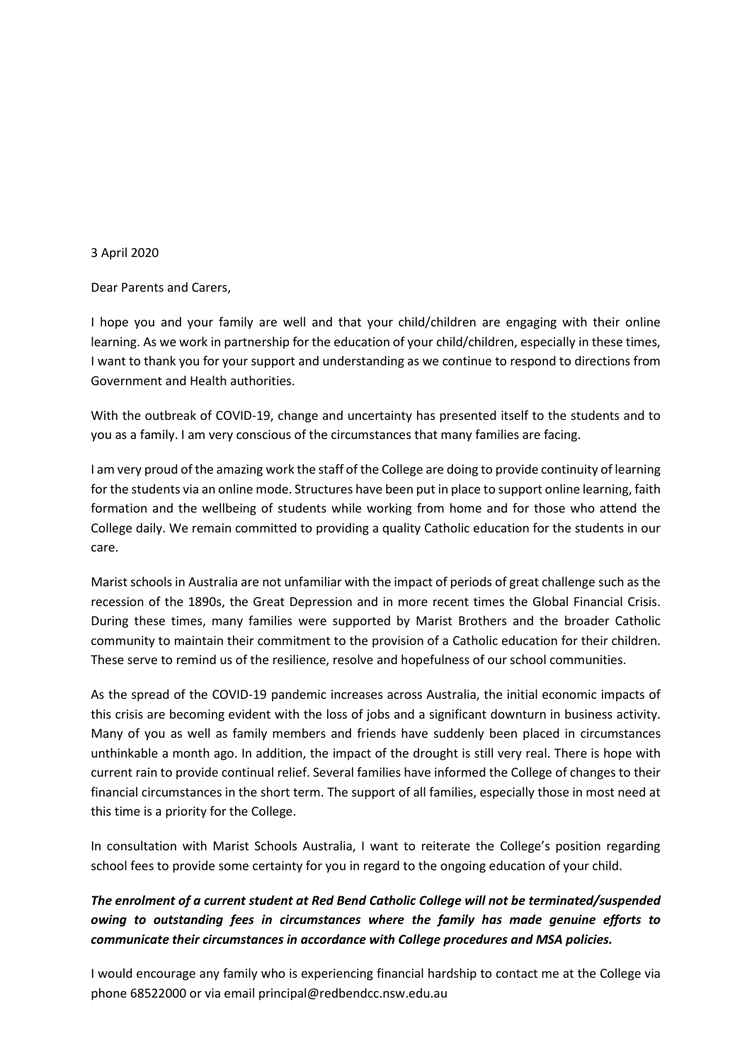## 3 April 2020

Dear Parents and Carers,

I hope you and your family are well and that your child/children are engaging with their online learning. As we work in partnership for the education of your child/children, especially in these times, I want to thank you for your support and understanding as we continue to respond to directions from Government and Health authorities.

With the outbreak of COVID-19, change and uncertainty has presented itself to the students and to you as a family. I am very conscious of the circumstances that many families are facing.

I am very proud of the amazing work the staff of the College are doing to provide continuity of learning for the students via an online mode. Structures have been put in place to support online learning, faith formation and the wellbeing of students while working from home and for those who attend the College daily. We remain committed to providing a quality Catholic education for the students in our care.

Marist schools in Australia are not unfamiliar with the impact of periods of great challenge such as the recession of the 1890s, the Great Depression and in more recent times the Global Financial Crisis. During these times, many families were supported by Marist Brothers and the broader Catholic community to maintain their commitment to the provision of a Catholic education for their children. These serve to remind us of the resilience, resolve and hopefulness of our school communities.

As the spread of the COVID-19 pandemic increases across Australia, the initial economic impacts of this crisis are becoming evident with the loss of jobs and a significant downturn in business activity. Many of you as well as family members and friends have suddenly been placed in circumstances unthinkable a month ago. In addition, the impact of the drought is still very real. There is hope with current rain to provide continual relief. Several families have informed the College of changes to their financial circumstances in the short term. The support of all families, especially those in most need at this time is a priority for the College.

In consultation with Marist Schools Australia, I want to reiterate the College's position regarding school fees to provide some certainty for you in regard to the ongoing education of your child.

## *The enrolment of a current student at Red Bend Catholic College will not be terminated/suspended owing to outstanding fees in circumstances where the family has made genuine efforts to communicate their circumstances in accordance with College procedures and MSA policies.*

I would encourage any family who is experiencing financial hardship to contact me at the College via phone 68522000 or via email principal@redbendcc.nsw.edu.au